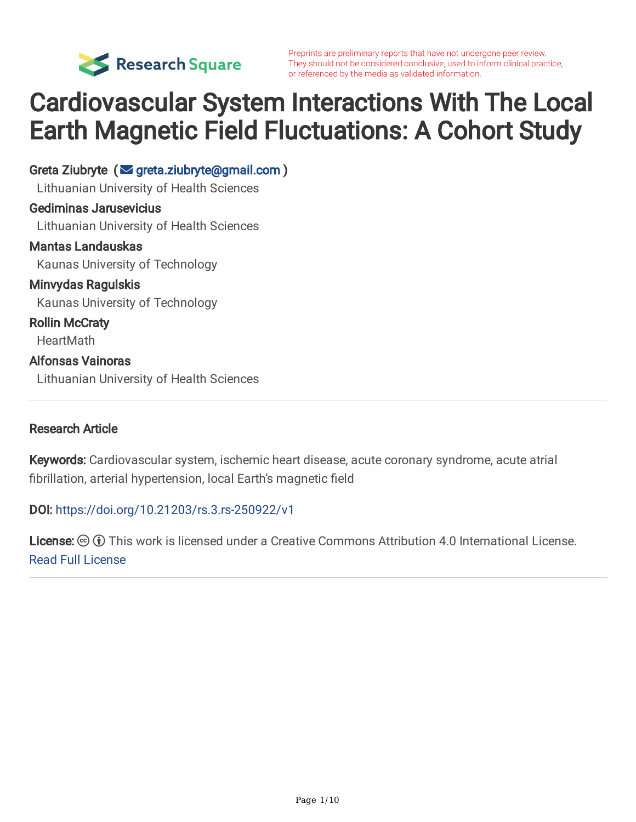

Preprints are preliminary reports that have not undergone peer review. They should not be considered conclusive, used to inform clinical practice, or referenced by the media as validated information.

# Cardiovascular System Interactions With The Local Earth Magnetic Field Fluctuations: A Cohort Study

Greta Ziubryte (sta[greta.ziubryte@gmail.com](mailto:greta.ziubryte@gmail.com)) Lithuanian University of Health Sciences Gediminas Jarusevicius Lithuanian University of Health Sciences Mantas Landauskas Kaunas University of Technology Minvydas Ragulskis Kaunas University of Technology Rollin McCraty **HeartMath** Alfonsas Vainoras Lithuanian University of Health Sciences

#### Research Article

Keywords: Cardiovascular system, ischemic heart disease, acute coronary syndrome, acute atrial fibrillation, arterial hypertension, local Earth's magnetic field

#### DOI: <https://doi.org/10.21203/rs.3.rs-250922/v1>

License:  $\odot$   $\odot$  This work is licensed under a Creative Commons Attribution 4.0 International License. Read Full [License](https://creativecommons.org/licenses/by/4.0/)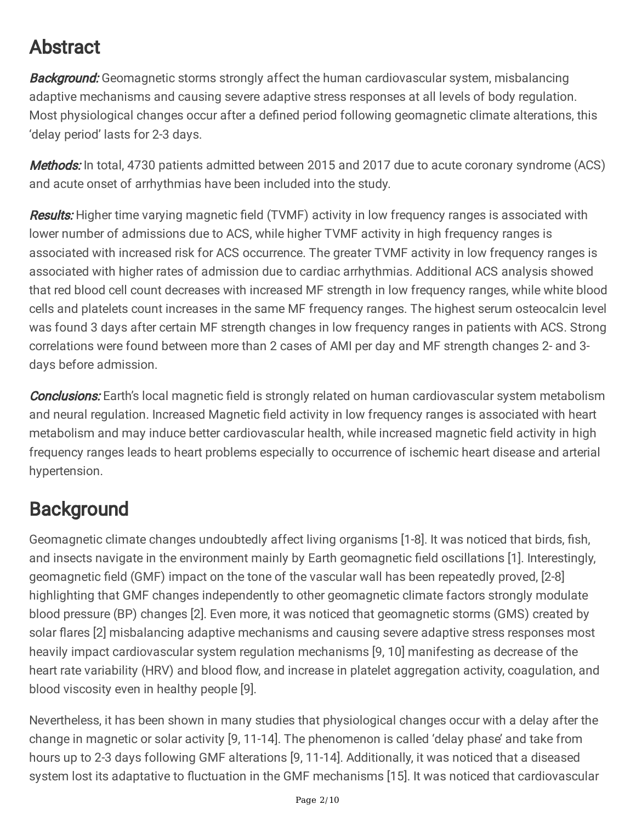# Abstract

**Background:** Geomagnetic storms strongly affect the human cardiovascular system, misbalancing adaptive mechanisms and causing severe adaptive stress responses at all levels of body regulation. Most physiological changes occur after a defined period following geomagnetic climate alterations, this 'delay period' lasts for 2-3 days.

Methods: In total, 4730 patients admitted between 2015 and 2017 due to acute coronary syndrome (ACS) and acute onset of arrhythmias have been included into the study.

Results: Higher time varying magnetic field (TVMF) activity in low frequency ranges is associated with lower number of admissions due to ACS, while higher TVMF activity in high frequency ranges is associated with increased risk for ACS occurrence. The greater TVMF activity in low frequency ranges is associated with higher rates of admission due to cardiac arrhythmias. Additional ACS analysis showed that red blood cell count decreases with increased MF strength in low frequency ranges, while white blood cells and platelets count increases in the same MF frequency ranges. The highest serum osteocalcin level was found 3 days after certain MF strength changes in low frequency ranges in patients with ACS. Strong correlations were found between more than 2 cases of AMI per day and MF strength changes 2- and 3 days before admission.

**Conclusions:** Earth's local magnetic field is strongly related on human cardiovascular system metabolism and neural regulation. Increased Magnetic field activity in low frequency ranges is associated with heart metabolism and may induce better cardiovascular health, while increased magnetic field activity in high frequency ranges leads to heart problems especially to occurrence of ischemic heart disease and arterial hypertension.

# **Background**

Geomagnetic climate changes undoubtedly affect living organisms [1-8]. It was noticed that birds, fish, and insects navigate in the environment mainly by Earth geomagnetic field oscillations [1]. Interestingly, geomagnetic field (GMF) impact on the tone of the vascular wall has been repeatedly proved, [2-8] highlighting that GMF changes independently to other geomagnetic climate factors strongly modulate blood pressure (BP) changes [2]. Even more, it was noticed that geomagnetic storms (GMS) created by solar flares [2] misbalancing adaptive mechanisms and causing severe adaptive stress responses most heavily impact cardiovascular system regulation mechanisms [9, 10] manifesting as decrease of the heart rate variability (HRV) and blood flow, and increase in platelet aggregation activity, coagulation, and blood viscosity even in healthy people [9].

Nevertheless, it has been shown in many studies that physiological changes occur with a delay after the change in magnetic or solar activity [9, 11-14]. The phenomenon is called 'delay phase' and take from hours up to 2-3 days following GMF alterations [9, 11-14]. Additionally, it was noticed that a diseased system lost its adaptative to fluctuation in the GMF mechanisms [15]. It was noticed that cardiovascular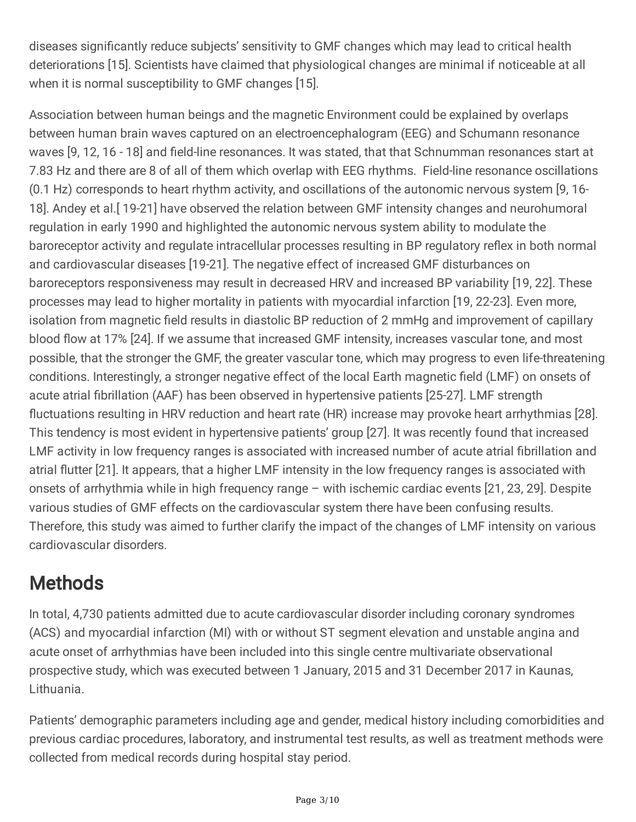diseases significantly reduce subjects' sensitivity to GMF changes which may lead to critical health deteriorations [15]. Scientists have claimed that physiological changes are minimal if noticeable at all when it is normal susceptibility to GMF changes [15].

Association between human beings and the magnetic Environment could be explained by overlaps between human brain waves captured on an electroencephalogram (EEG) and Schumann resonance waves [9, 12, 16 - 18] and field-line resonances. It was stated, that that Schnumman resonances start at 7.83 Hz and there are 8 of all of them which overlap with EEG rhythms. Field-line resonance oscillations (0.1 Hz) corresponds to heart rhythm activity, and oscillations of the autonomic nervous system [9, 16- 18]. Andey et al.[ 19-21] have observed the relation between GMF intensity changes and neurohumoral regulation in early 1990 and highlighted the autonomic nervous system ability to modulate the baroreceptor activity and regulate intracellular processes resulting in BP regulatory reflex in both normal and cardiovascular diseases [19-21]. The negative effect of increased GMF disturbances on baroreceptors responsiveness may result in decreased HRV and increased BP variability [19, 22]. These processes may lead to higher mortality in patients with myocardial infarction [19, 22-23]. Even more, isolation from magnetic field results in diastolic BP reduction of 2 mmHg and improvement of capillary blood flow at 17% [24]. If we assume that increased GMF intensity, increases vascular tone, and most possible, that the stronger the GMF, the greater vascular tone, which may progress to even life-threatening conditions. Interestingly, a stronger negative effect of the local Earth magnetic field (LMF) on onsets of acute atrial fibrillation (AAF) has been observed in hypertensive patients [25-27]. LMF strength fluctuations resulting in HRV reduction and heart rate (HR) increase may provoke heart arrhythmias [28]. This tendency is most evident in hypertensive patients' group [27]. It was recently found that increased LMF activity in low frequency ranges is associated with increased number of acute atrial fibrillation and atrial flutter [21]. It appears, that a higher LMF intensity in the low frequency ranges is associated with onsets of arrhythmia while in high frequency range – with ischemic cardiac events [21, 23, 29]. Despite various studies of GMF effects on the cardiovascular system there have been confusing results. Therefore, this study was aimed to further clarify the impact of the changes of LMF intensity on various cardiovascular disorders.

#### **Methods**

In total, 4,730 patients admitted due to acute cardiovascular disorder including coronary syndromes (ACS) and myocardial infarction (MI) with or without ST segment elevation and unstable angina and acute onset of arrhythmias have been included into this single centre multivariate observational prospective study, which was executed between 1 January, 2015 and 31 December 2017 in Kaunas, Lithuania.

Patients' demographic parameters including age and gender, medical history including comorbidities and previous cardiac procedures, laboratory, and instrumental test results, as well as treatment methods were collected from medical records during hospital stay period.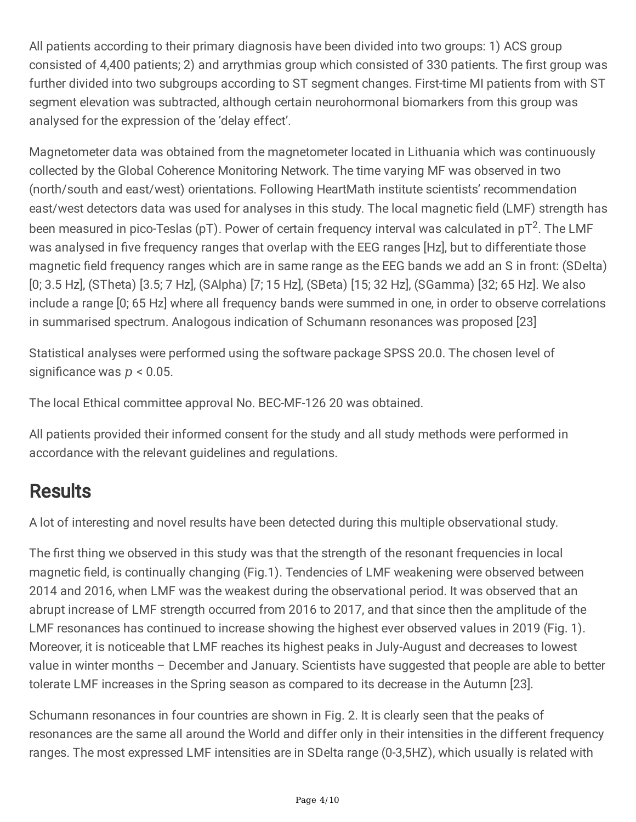All patients according to their primary diagnosis have been divided into two groups: 1) ACS group consisted of 4,400 patients; 2) and arrythmias group which consisted of 330 patients. The first group was further divided into two subgroups according to ST segment changes. First-time MI patients from with ST segment elevation was subtracted, although certain neurohormonal biomarkers from this group was analysed for the expression of the 'delay effect'.

Magnetometer data was obtained from the magnetometer located in Lithuania which was continuously collected by the Global Coherence Monitoring Network. The time varying MF was observed in two (north/south and east/west) orientations. Following HeartMath institute scientists' recommendation east/west detectors data was used for analyses in this study. The local magnetic field (LMF) strength has been measured in pico-Teslas (pT). Power of certain frequency interval was calculated in pT<sup>2</sup>. The LMF was analysed in five frequency ranges that overlap with the EEG ranges [Hz], but to differentiate those magnetic field frequency ranges which are in same range as the EEG bands we add an S in front: (SDelta) [0; 3.5 Hz], (STheta) [3.5; 7 Hz], (SAlpha) [7; 15 Hz], (SBeta) [15; 32 Hz], (SGamma) [32; 65 Hz]. We also include a range [0; 65 Hz] where all frequency bands were summed in one, in order to observe correlations in summarised spectrum. Analogous indication of Schumann resonances was proposed [23]

Statistical analyses were performed using the software package SPSS 20.0. The chosen level of significance was  $p < 0.05$ .

The local Ethical committee approval No. BEC-MF-126 20 was obtained.

All patients provided their informed consent for the study and all study methods were performed in accordance with the relevant guidelines and regulations.

#### **Results**

A lot of interesting and novel results have been detected during this multiple observational study.

The first thing we observed in this study was that the strength of the resonant frequencies in local magnetic field, is continually changing (Fig.1). Tendencies of LMF weakening were observed between 2014 and 2016, when LMF was the weakest during the observational period. It was observed that an abrupt increase of LMF strength occurred from 2016 to 2017, and that since then the amplitude of the LMF resonances has continued to increase showing the highest ever observed values in 2019 (Fig. 1). Moreover, it is noticeable that LMF reaches its highest peaks in July-August and decreases to lowest value in winter months – December and January. Scientists have suggested that people are able to better tolerate LMF increases in the Spring season as compared to its decrease in the Autumn [23].

Schumann resonances in four countries are shown in Fig. 2. It is clearly seen that the peaks of resonances are the same all around the World and differ only in their intensities in the different frequency ranges. The most expressed LMF intensities are in SDelta range (0-3,5HZ), which usually is related with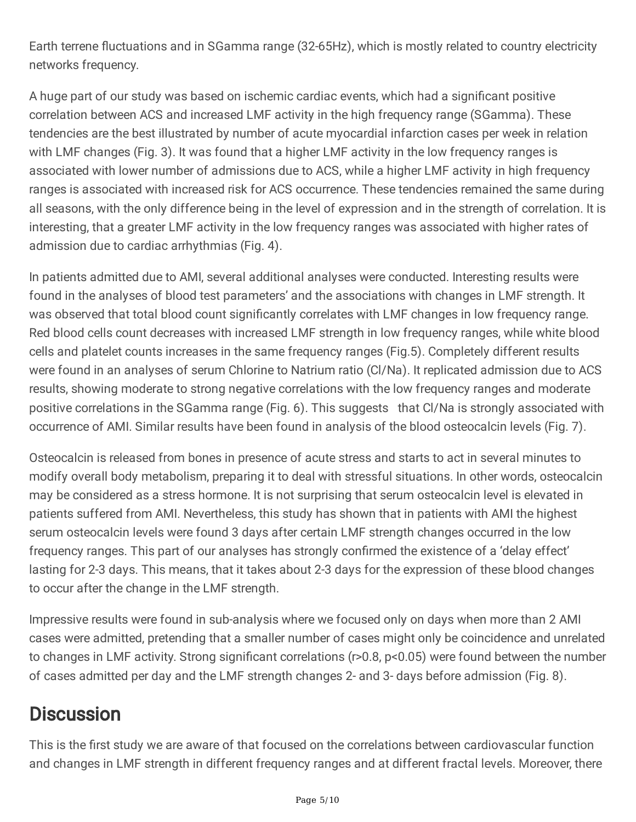Earth terrene fluctuations and in SGamma range (32-65Hz), which is mostly related to country electricity networks frequency.

A huge part of our study was based on ischemic cardiac events, which had a significant positive correlation between ACS and increased LMF activity in the high frequency range (SGamma). These tendencies are the best illustrated by number of acute myocardial infarction cases per week in relation with LMF changes (Fig. 3). It was found that a higher LMF activity in the low frequency ranges is associated with lower number of admissions due to ACS, while a higher LMF activity in high frequency ranges is associated with increased risk for ACS occurrence. These tendencies remained the same during all seasons, with the only difference being in the level of expression and in the strength of correlation. It is interesting, that a greater LMF activity in the low frequency ranges was associated with higher rates of admission due to cardiac arrhythmias (Fig. 4).

In patients admitted due to AMI, several additional analyses were conducted. Interesting results were found in the analyses of blood test parameters' and the associations with changes in LMF strength. It was observed that total blood count significantly correlates with LMF changes in low frequency range. Red blood cells count decreases with increased LMF strength in low frequency ranges, while white blood cells and platelet counts increases in the same frequency ranges (Fig.5). Completely different results were found in an analyses of serum Chlorine to Natrium ratio (Cl/Na). It replicated admission due to ACS results, showing moderate to strong negative correlations with the low frequency ranges and moderate positive correlations in the SGamma range (Fig. 6). This suggests that Cl/Na is strongly associated with occurrence of AMI. Similar results have been found in analysis of the blood osteocalcin levels (Fig. 7).

Osteocalcin is released from bones in presence of acute stress and starts to act in several minutes to modify overall body metabolism, preparing it to deal with stressful situations. In other words, osteocalcin may be considered as a stress hormone. It is not surprising that serum osteocalcin level is elevated in patients suffered from AMI. Nevertheless, this study has shown that in patients with AMI the highest serum osteocalcin levels were found 3 days after certain LMF strength changes occurred in the low frequency ranges. This part of our analyses has strongly confirmed the existence of a 'delay effect' lasting for 2-3 days. This means, that it takes about 2-3 days for the expression of these blood changes to occur after the change in the LMF strength.

Impressive results were found in sub-analysis where we focused only on days when more than 2 AMI cases were admitted, pretending that a smaller number of cases might only be coincidence and unrelated to changes in LMF activity. Strong significant correlations ( $r$ >0.8,  $p$ <0.05) were found between the number of cases admitted per day and the LMF strength changes 2- and 3- days before admission (Fig. 8).

### **Discussion**

This is the first study we are aware of that focused on the correlations between cardiovascular function and changes in LMF strength in different frequency ranges and at different fractal levels. Moreover, there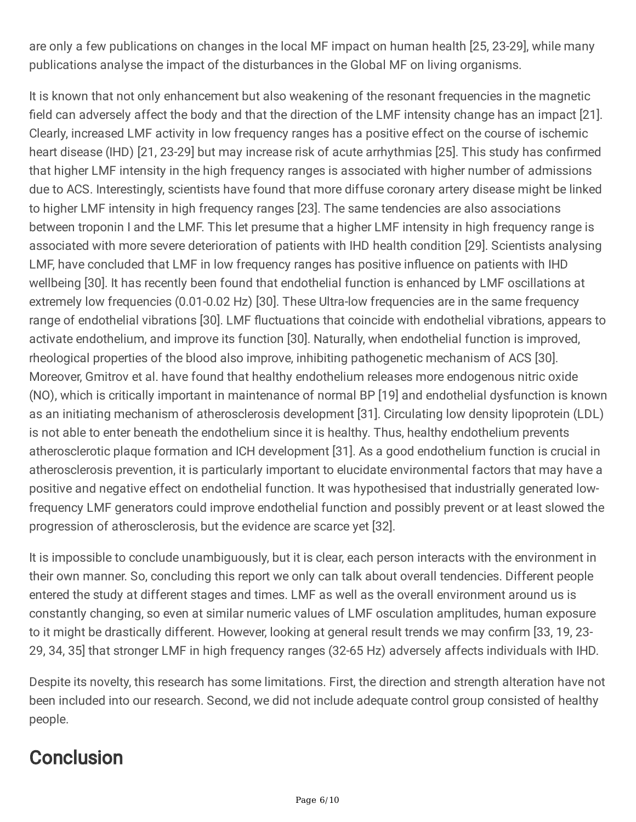are only a few publications on changes in the local MF impact on human health [25, 23-29], while many publications analyse the impact of the disturbances in the Global MF on living organisms.

It is known that not only enhancement but also weakening of the resonant frequencies in the magnetic field can adversely affect the body and that the direction of the LMF intensity change has an impact [21]. Clearly, increased LMF activity in low frequency ranges has a positive effect on the course of ischemic heart disease (IHD) [21, 23-29] but may increase risk of acute arrhythmias [25]. This study has confirmed that higher LMF intensity in the high frequency ranges is associated with higher number of admissions due to ACS. Interestingly, scientists have found that more diffuse coronary artery disease might be linked to higher LMF intensity in high frequency ranges [23]. The same tendencies are also associations between troponin I and the LMF. This let presume that a higher LMF intensity in high frequency range is associated with more severe deterioration of patients with IHD health condition [29]. Scientists analysing LMF, have concluded that LMF in low frequency ranges has positive influence on patients with IHD wellbeing [30]. It has recently been found that endothelial function is enhanced by LMF oscillations at extremely low frequencies (0.01-0.02 Hz) [30]. These Ultra-low frequencies are in the same frequency range of endothelial vibrations [30]. LMF fluctuations that coincide with endothelial vibrations, appears to activate endothelium, and improve its function [30]. Naturally, when endothelial function is improved, rheological properties of the blood also improve, inhibiting pathogenetic mechanism of ACS [30]. Moreover, Gmitrov et al. have found that healthy endothelium releases more endogenous nitric oxide (NO), which is critically important in maintenance of normal BP [19] and endothelial dysfunction is known as an initiating mechanism of atherosclerosis development [31]. Circulating low density lipoprotein (LDL) is not able to enter beneath the endothelium since it is healthy. Thus, healthy endothelium prevents atherosclerotic plaque formation and ICH development [31]. As a good endothelium function is crucial in atherosclerosis prevention, it is particularly important to elucidate environmental factors that may have a positive and negative effect on endothelial function. It was hypothesised that industrially generated lowfrequency LMF generators could improve endothelial function and possibly prevent or at least slowed the progression of atherosclerosis, but the evidence are scarce yet [32].

It is impossible to conclude unambiguously, but it is clear, each person interacts with the environment in their own manner. So, concluding this report we only can talk about overall tendencies. Different people entered the study at different stages and times. LMF as well as the overall environment around us is constantly changing, so even at similar numeric values of LMF osculation amplitudes, human exposure to it might be drastically different. However, looking at general result trends we may confirm [33, 19, 23-29, 34, 35] that stronger LMF in high frequency ranges (32-65 Hz) adversely affects individuals with IHD.

Despite its novelty, this research has some limitations. First, the direction and strength alteration have not been included into our research. Second, we did not include adequate control group consisted of healthy people.

# **Conclusion**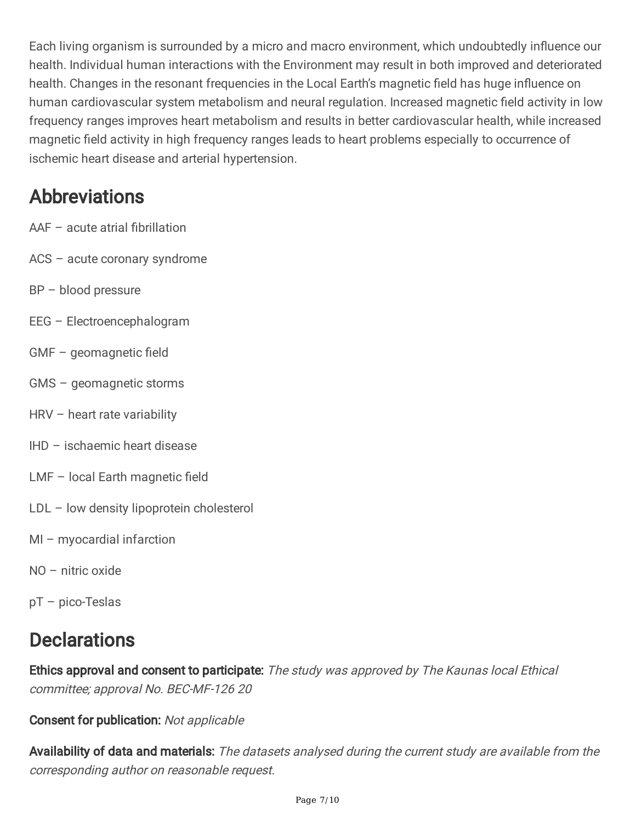Each living organism is surrounded by a micro and macro environment, which undoubtedly influence our health. Individual human interactions with the Environment may result in both improved and deteriorated health. Changes in the resonant frequencies in the Local Earth's magnetic field has huge influence on human cardiovascular system metabolism and neural regulation. Increased magnetic field activity in low frequency ranges improves heart metabolism and results in better cardiovascular health, while increased magnetic field activity in high frequency ranges leads to heart problems especially to occurrence of ischemic heart disease and arterial hypertension.

#### Abbreviations

- $AAF acute$  atrial fibrillation
- ACS acute coronary syndrome
- BP blood pressure
- EEG Electroencephalogram
- $GMF qeomagnetic field$
- GMS geomagnetic storms
- HRV heart rate variability
- IHD ischaemic heart disease
- $LMF local Earth magnetic field$
- LDL low density lipoprotein cholesterol
- MI myocardial infarction
- NO nitric oxide
- pT pico-Teslas

#### **Declarations**

Ethics approval and consent to participate: The study was approved by The Kaunas local Ethical committee; approval No. BEC-MF-126 20

#### Consent for publication: Not applicable

Availability of data and materials: The datasets analysed during the current study are available from the corresponding author on reasonable request.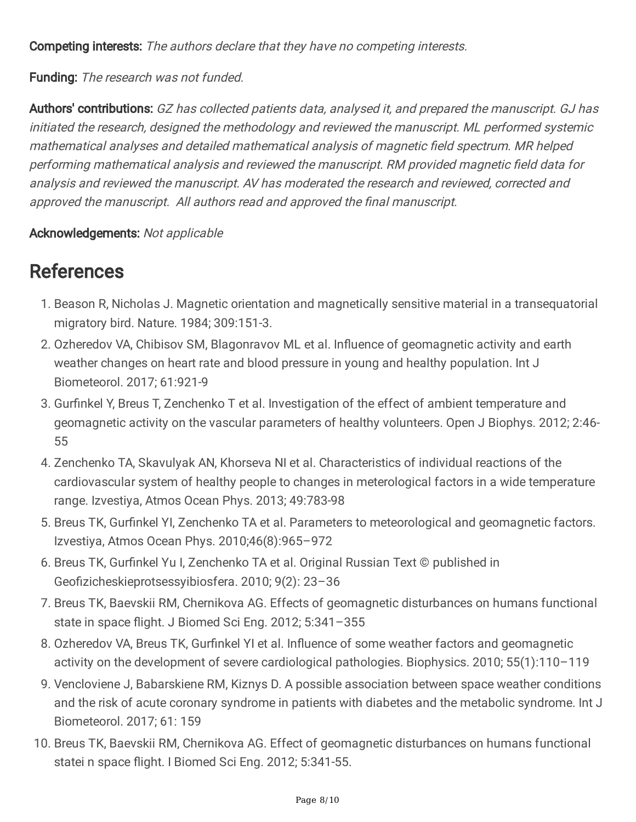Competing interests: The authors declare that they have no competing interests.

Funding: The research was not funded.

Authors' contributions: GZ has collected patients data, analysed it, and prepared the manuscript. GJ has initiated the research, designed the methodology and reviewed the manuscript. ML performed systemic mathematical analyses and detailed mathematical analysis of magnetic field spectrum. MR helped performing mathematical analysis and reviewed the manuscript. RM provided magnetic field data for analysis and reviewed the manuscript. AV has moderated the research and reviewed, corrected and approved the manuscript. All authors read and approved the final manuscript.

#### Acknowledgements: Not applicable

#### **References**

- 1. Beason R, Nicholas J. Magnetic orientation and magnetically sensitive material in a transequatorial migratory bird. Nature. 1984; 309:151-3.
- 2. Ozheredov VA, Chibisov SM, Blagonravov ML et al. Influence of geomagnetic activity and earth weather changes on heart rate and blood pressure in young and healthy population. Int J Biometeorol. 2017; 61:921-9
- 3. Gurfinkel Y, Breus T, Zenchenko T et al. Investigation of the effect of ambient temperature and geomagnetic activity on the vascular parameters of healthy volunteers. Open J Biophys. 2012; 2:46- 55
- 4. Zenchenko TA, Skavulyak AN, Khorseva NI et al. Characteristics of individual reactions of the cardiovascular system of healthy people to changes in meterological factors in a wide temperature range. Izvestiya, Atmos Ocean Phys. 2013; 49:783-98
- 5. Breus TK, Gurfinkel YI, Zenchenko TA et al. Parameters to meteorological and geomagnetic factors. Izvestiya, Atmos Ocean Phys. 2010;46(8):965–972
- 6. Breus TK, Gurfinkel Yu I, Zenchenko TA et al. Original Russian Text © published in Geofizicheskieprotsessyibiosfera. 2010; 9(2): 23-36
- 7. Breus TK, Baevskii RM, Chernikova AG. Effects of geomagnetic disturbances on humans functional state in space flight. J Biomed Sci Eng. 2012; 5:341-355
- 8. Ozheredov VA, Breus TK, Gurfinkel YI et al. Influence of some weather factors and geomagnetic activity on the development of severe cardiological pathologies. Biophysics. 2010; 55(1):110–119
- 9. Vencloviene J, Babarskiene RM, Kiznys D. A possible association between space weather conditions and the risk of acute coronary syndrome in patients with diabetes and the metabolic syndrome. Int J Biometeorol. 2017; 61: 159
- 10. Breus TK, Baevskii RM, Chernikova AG. Effect of geomagnetic disturbances on humans functional statei n space flight. I Biomed Sci Eng. 2012; 5:341-55.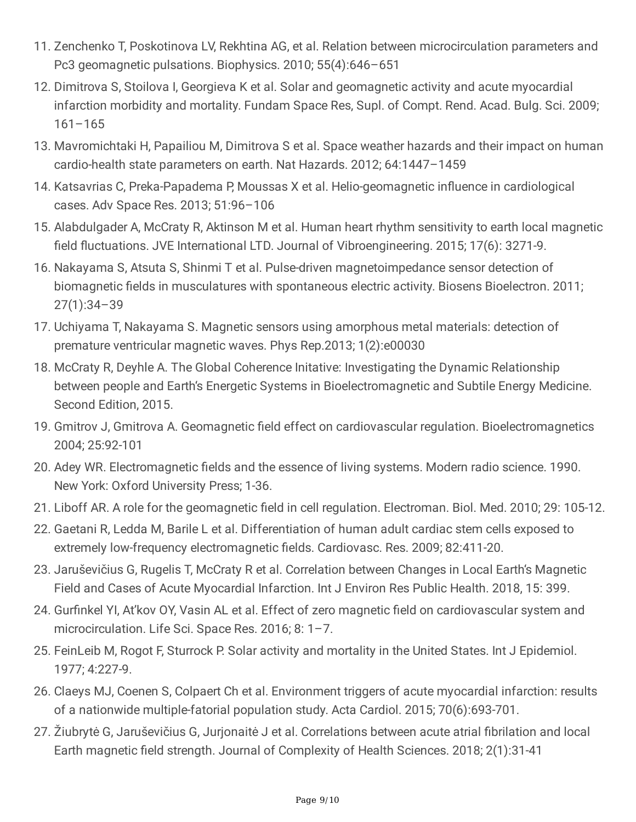- 11. Zenchenko T, Poskotinova LV, Rekhtina AG, et al. Relation between microcirculation parameters and Pc3 geomagnetic pulsations. Biophysics. 2010; 55(4):646–651
- 12. Dimitrova S, Stoilova I, Georgieva K et al. Solar and geomagnetic activity and acute myocardial infarction morbidity and mortality. Fundam Space Res, Supl. of Compt. Rend. Acad. Bulg. Sci. 2009; 161–165
- 13. Mavromichtaki H, Papailiou M, Dimitrova S et al. Space weather hazards and their impact on human cardio-health state parameters on earth. Nat Hazards. 2012; 64:1447–1459
- 14. Katsavrias C, Preka-Papadema P, Moussas X et al. Helio-geomagnetic influence in cardiological cases. Adv Space Res. 2013; 51:96–106
- 15. Alabdulgader A, McCraty R, Aktinson M et al. Human heart rhythm sensitivity to earth local magnetic field fluctuations. JVE International LTD. Journal of Vibroengineering. 2015; 17(6): 3271-9.
- 16. Nakayama S, Atsuta S, Shinmi T et al. Pulse-driven magnetoimpedance sensor detection of biomagnetic fields in musculatures with spontaneous electric activity. Biosens Bioelectron. 2011; 27(1):34–39
- 17. Uchiyama T, Nakayama S. Magnetic sensors using amorphous metal materials: detection of premature ventricular magnetic waves. Phys Rep.2013; 1(2):e00030
- 18. McCraty R, Deyhle A. The Global Coherence Initative: Investigating the Dynamic Relationship between people and Earth's Energetic Systems in Bioelectromagnetic and Subtile Energy Medicine. Second Edition, 2015.
- 19. Gmitrov J, Gmitrova A. Geomagnetic field effect on cardiovascular regulation. Bioelectromagnetics 2004; 25:92-101
- 20. Adey WR. Electromagnetic fields and the essence of living systems. Modern radio science. 1990. New York: Oxford University Press; 1-36.
- 21. Liboff AR. A role for the geomagnetic field in cell regulation. Electroman. Biol. Med. 2010; 29: 105-12.
- 22. Gaetani R, Ledda M, Barile L et al. Differentiation of human adult cardiac stem cells exposed to extremely low-frequency electromagnetic fields. Cardiovasc. Res. 2009; 82:411-20.
- 23. Jaruševičius G, Rugelis T, McCraty R et al. Correlation between Changes in Local Earth's Magnetic Field and Cases of Acute Myocardial Infarction. Int J Environ Res Public Health. 2018, 15: 399.
- 24. Gurfinkel YI, At'kov OY, Vasin AL et al. Effect of zero magnetic field on cardiovascular system and microcirculation. Life Sci. Space Res. 2016; 8: 1–7.
- 25. FeinLeib M, Rogot F, Sturrock P. Solar activity and mortality in the United States. Int J Epidemiol. 1977; 4:227-9.
- 26. Claeys MJ, Coenen S, Colpaert Ch et al. Environment triggers of acute myocardial infarction: results of a nationwide multiple-fatorial population study. Acta Cardiol. 2015; 70(6):693-701.
- 27. Žiubrytė G, Jaruševičius G, Jurjonaitė J et al. Correlations between acute atrial fibrilation and local Earth magnetic field strength. Journal of Complexity of Health Sciences. 2018; 2(1):31-41